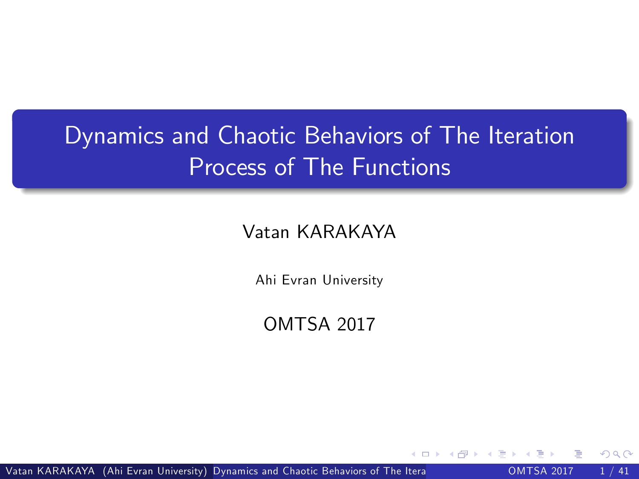## Dynamics and Chaotic Behaviors of The Iteration Process of The Functions

Vatan KARAKAYA

Ahi Evran University

OMTSA 2017

Vatan KARAKAYA (Ahi Evran University) Dynamics and Chaotic Behaviors of The Itera **Process of The Function Process** 

<span id="page-0-0"></span> $200$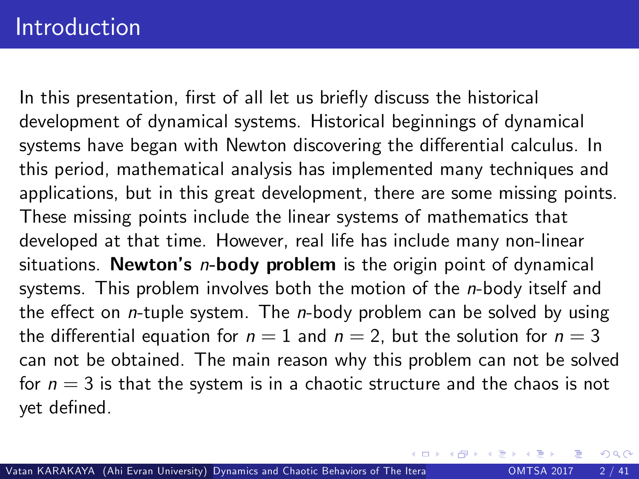In this presentation, first of all let us briefly discuss the historical development of dynamical systems. Historical beginnings of dynamical systems have began with Newton discovering the differential calculus. In this period, mathematical analysis has implemented many techniques and applications, but in this great development, there are some missing points. These missing points include the linear systems of mathematics that developed at that time. However, real life has include many non-linear situations. **Newton's**  $n$ -**body problem** is the origin point of dynamical systems. This problem involves both the motion of the *n*-body itself and the effect on *n*-tuple system. The *n*-body problem can be solved by using the differential equation for  $n = 1$  and  $n = 2$ , but the solution for  $n = 3$ can not be obtained. The main reason why this problem can not be solved for  $n = 3$  is that the system is in a chaotic structure and the chaos is not yet defined.

 $QQ$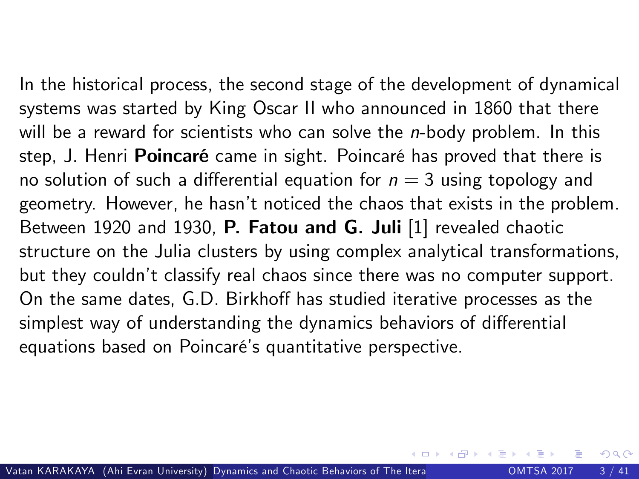In the historical process, the second stage of the development of dynamical systems was started by King Oscar II who announced in 1860 that there will be a reward for scientists who can solve the n-body problem. In this step, J. Henri Poincaré came in sight. Poincaré has proved that there is no solution of such a differential equation for  $n = 3$  using topology and geometry. However, he hasnít noticed the chaos that exists in the problem. Between 1920 and 1930, P. Fatou and G. Juli [\[1\]](#page-39-0) revealed chaotic structure on the Julia clusters by using complex analytical transformations, but they couldnít classify real chaos since there was no computer support. On the same dates, G.D. Birkhoff has studied iterative processes as the simplest way of understanding the dynamics behaviors of differential equations based on Poincaré's quantitative perspective.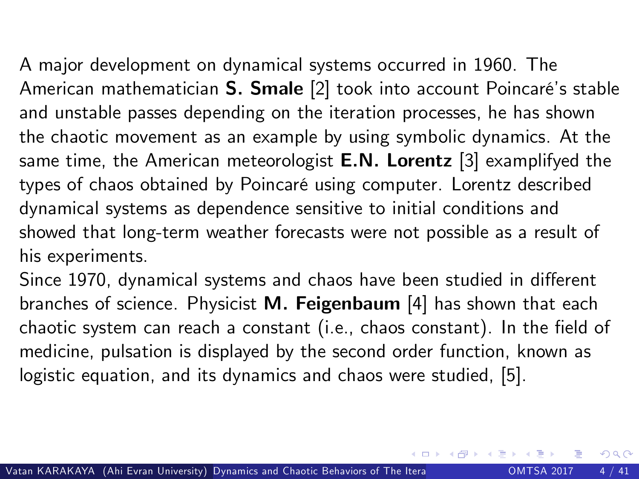A major development on dynamical systems occurred in 1960. The American mathematician **S. Smale**  $[2]$  took into account Poincaré's stable and unstable passes depending on the iteration processes, he has shown the chaotic movement as an example by using symbolic dynamics. At the same time, the American meteorologist  $E.N.$  Lorentz  $[3]$  examplifyed the types of chaos obtained by Poincaré using computer. Lorentz described dynamical systems as dependence sensitive to initial conditions and showed that long-term weather forecasts were not possible as a result of his experiments.

Since 1970, dynamical systems and chaos have been studied in different branches of science. Physicist **M. Feigenbaum**  $[4]$  has shown that each chaotic system can reach a constant (i.e., chaos constant). In the field of medicine, pulsation is displayed by the second order function, known as logistic equation, and its dynamics and chaos were studied, [\[5\]](#page-39-4).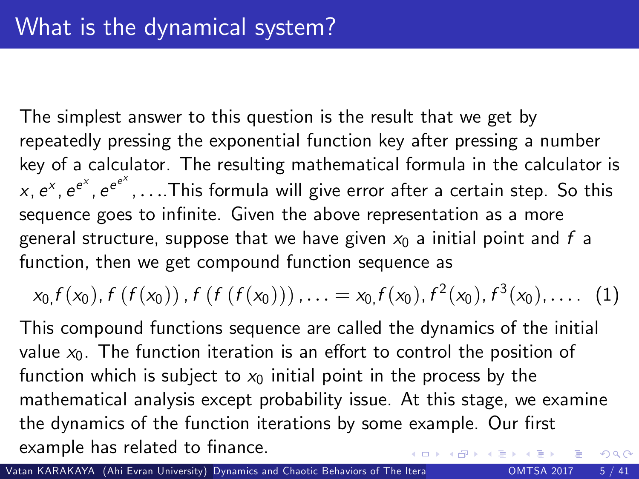The simplest answer to this question is the result that we get by repeatedly pressing the exponential function key after pressing a number key of a calculator. The resulting mathematical formula in the calculator is x,  $e^x$ ,  $e^{e^x}$ ,  $e^{e^{e^x}}$ , .....This formula will give error after a certain step. So this sequence goes to infinite. Given the above representation as a more general structure, suppose that we have given  $x_0$  a initial point and f a function, then we get compound function sequence as

<span id="page-4-0"></span>
$$
x_0, f(x_0), f(f(x_0)), f(f(f(x_0))), \ldots = x_0, f(x_0), f^2(x_0), f^3(x_0), \ldots (1)
$$

This compound functions sequence are called the dynamics of the initial value  $x_0$ . The function iteration is an effort to control the position of function which is subject to  $x_0$  initial point in the process by the mathematical analysis except probability issue. At this stage, we examine the dynamics of the function iterations by some example. Our first example has related to finance.  $QQ$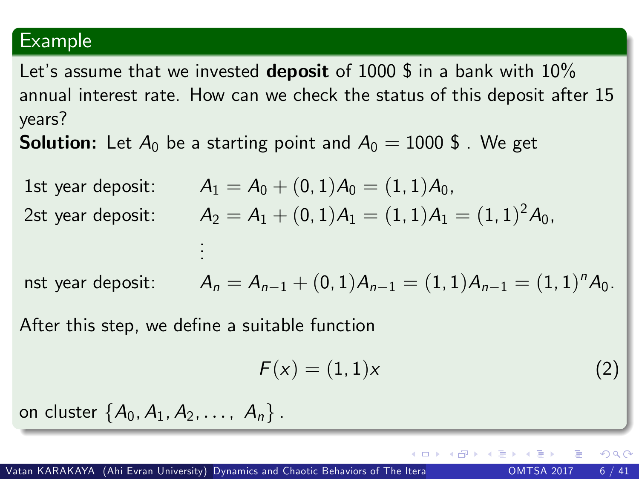#### Example

Let's assume that we invested **deposit** of 1000 \$ in a bank with  $10\%$ annual interest rate. How can we check the status of this deposit after 15 years?

**Solution:** Let  $A_0$  be a starting point and  $A_0 = 1000$  \$. We get

| 1st year deposit: $A_1 = A_0 + (0, 1)A_0 = (1, 1)A_0$ ,              |
|----------------------------------------------------------------------|
| 2st year deposit: $A_2 = A_1 + (0, 1)A_1 = (1, 1)A_1 = (1, 1)^2 A_0$ |
|                                                                      |

nst year deposit:  $A_n = A_{n-1} + (0, 1)A_{n-1} = (1, 1)A_{n-1} = (1, 1)^n A_0.$ 

After this step, we define a suitable function

. .

<span id="page-5-0"></span>
$$
F(x) = (1,1)x \tag{2}
$$

on cluster  $\{A_0, A_1, A_2, ..., A_n\}$ .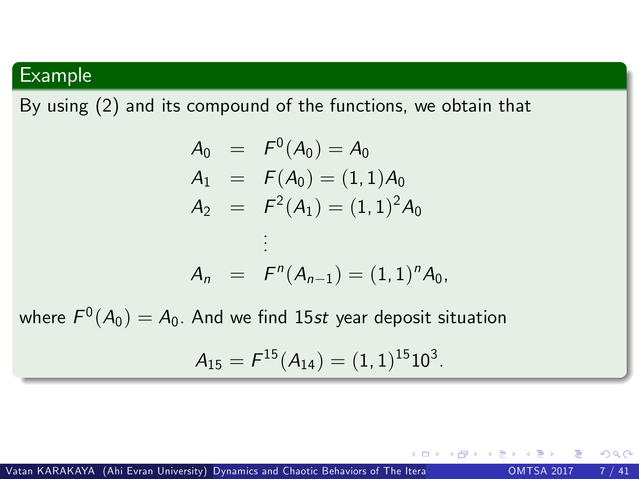### Example

By using [\(2\)](#page-5-0) and its compound of the functions, we obtain that

$$
A_0 = F^0(A_0) = A_0
$$
  
\n
$$
A_1 = F(A_0) = (1, 1)A_0
$$
  
\n
$$
A_2 = F^2(A_1) = (1, 1)^2 A_0
$$
  
\n
$$
\vdots
$$
  
\n
$$
A_n = F^n(A_{n-1}) = (1, 1)^n A_0,
$$

where  $\mathit{F}^{0}(A_{0})=A_{0}.$  And we find 15 $st$  year deposit situation

$$
A_{15}=F^{15}(A_{14})=(1,1)^{15}10^3.
$$

 $QQQ$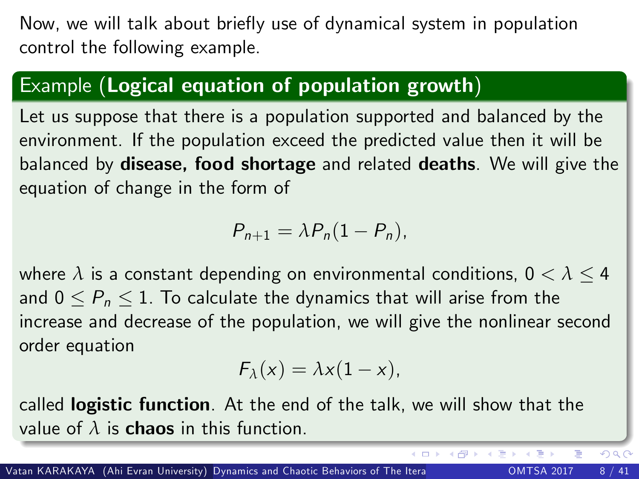Now, we will talk about briefly use of dynamical system in population control the following example.

### Example (Logical equation of population growth)

Let us suppose that there is a population supported and balanced by the environment. If the population exceed the predicted value then it will be balanced by disease, food shortage and related deaths. We will give the equation of change in the form of

$$
P_{n+1} = \lambda P_n (1 - P_n),
$$

where  $\lambda$  is a constant depending on environmental conditions,  $0 < \lambda < 4$ and  $0 \leq P_n \leq 1$ . To calculate the dynamics that will arise from the increase and decrease of the population, we will give the nonlinear second order equation

$$
F_{\lambda}(x)=\lambda x(1-x),
$$

 $QQ$ 

called logistic function. At the end of the talk, we will show that the value of  $\lambda$  is **chaos** in this function.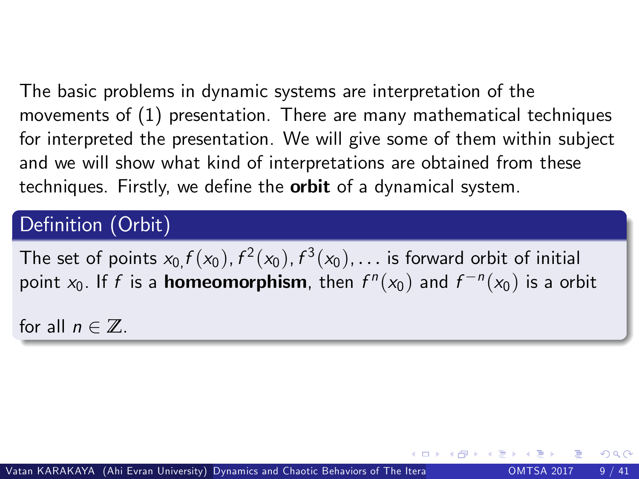The basic problems in dynamic systems are interpretation of the movements of [\(1\)](#page-4-0) presentation. There are many mathematical techniques for interpreted the presentation. We will give some of them within subject and we will show what kind of interpretations are obtained from these techniques. Firstly, we define the **orbit** of a dynamical system.

### Definition (Orbit)

The set of points  $x_0$   $f(x_0)$ ,  $f^2(x_0)$ ,  $f^3(x_0)$ ,  $\ldots$  is forward orbit of initial point  $x_0$ . If  $f$  is a **homeomorphism**, then  $f^n(x_0)$  and  $f^{-n}(x_0)$  is a orbit

つひひ

for all  $n \in \mathbb{Z}$ .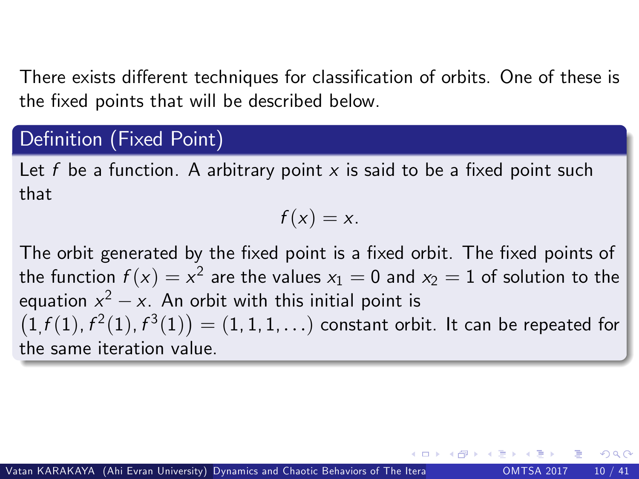There exists different techniques for classification of orbits. One of these is the fixed points that will be described below.

### Definition (Fixed Point)

Let f be a function. A arbitrary point  $x$  is said to be a fixed point such that

$$
f(x)=x.
$$

The orbit generated by the fixed point is a fixed orbit. The fixed points of the function  $f(x)=x^2$  are the values  $x_1=0$  and  $x_2=1$  of solution to the equation  $x^2 - x$ . An orbit with this initial point is  $\left(1,f(1),f^2(1),f^3(1)\right)=(1,1,1,\ldots)$  constant orbit. It can be repeated for the same iteration value.

 $200$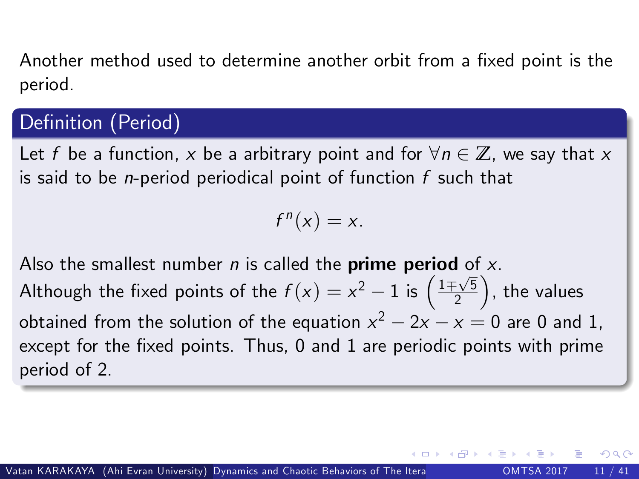Another method used to determine another orbit from a fixed point is the period.

## Definition (Period)

Let f be a function, x be a arbitrary point and for  $\forall n \in \mathbb{Z}$ , we say that x is said to be *n*-period periodical point of function  $f$  such that

 $f^{n}(x) = x.$ 

Also the smallest number  $n$  is called the **prime period** of  $x$ . Although the fixed points of the  $f(x) = x^2 - 1$  is  $\left(\frac{1 \mp \sqrt{5}}{2}\right)$ 2 , the values obtained from the solution of the equation  $x^2 - 2x - x = 0$  are 0 and 1, except for the fixed points. Thus, 0 and 1 are periodic points with prime period of 2.

 $200$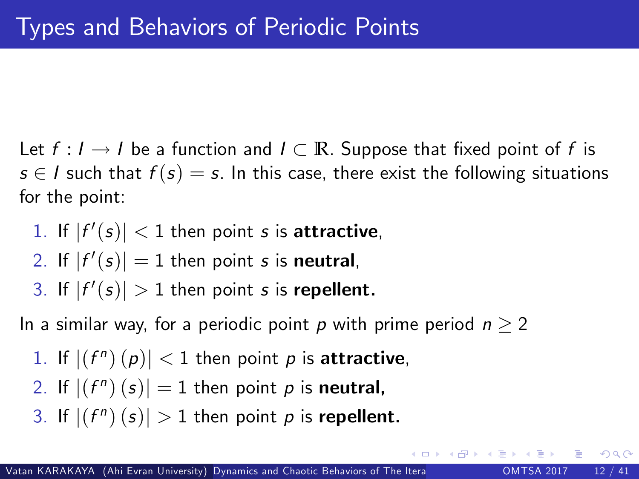Let  $f: I \rightarrow I$  be a function and  $I \subset \mathbb{R}$ . Suppose that fixed point of f is  $s \in I$  such that  $f(s) = s$ . In this case, there exist the following situations for the point:

- 1. If  $|f'(s)| < 1$  then point s is **attractive**,
- 2. If  $|f'(s)| = 1$  then point s is **neutral**,
- 3. If  $|f'(s)| > 1$  then point s is **repellent.**

In a similar way, for a periodic point p with prime period  $n \geq 2$ 

- 1. If  $|(f^n)(p)| < 1$  then point  $p$  is **attractive**,
- 2. If  $|(f^n)(s)| = 1$  then point  $p$  is **neutral**,
- 3. If  $|(f^n)(s)| > 1$  then point  $p$  is repellent.

 $QQ$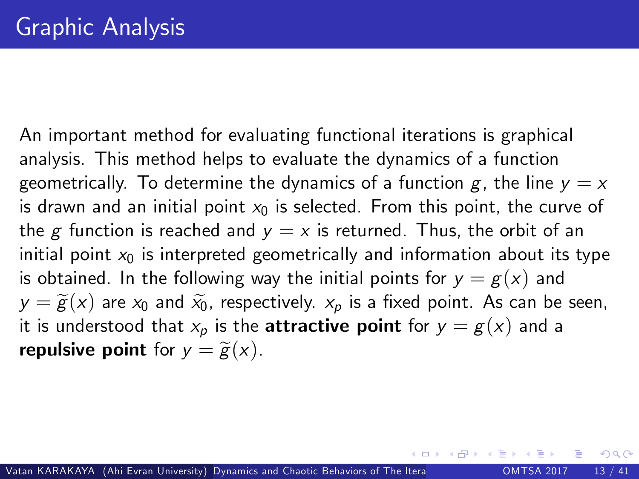An important method for evaluating functional iterations is graphical analysis. This method helps to evaluate the dynamics of a function geometrically. To determine the dynamics of a function g, the line  $y = x$ is drawn and an initial point  $x_0$  is selected. From this point, the curve of the g function is reached and  $y = x$  is returned. Thus, the orbit of an initial point  $x_0$  is interpreted geometrically and information about its type is obtained. In the following way the initial points for  $y = g(x)$  and  $y = \widetilde{g}(x)$  are  $x_0$  and  $\widetilde{x}_0$ , respectively.  $x_p$  is a fixed point. As can be seen, it is understood that  $x_p$  is the **attractive point** for  $y = g(x)$  and a repulsive point for  $y = \tilde{g}(x)$ .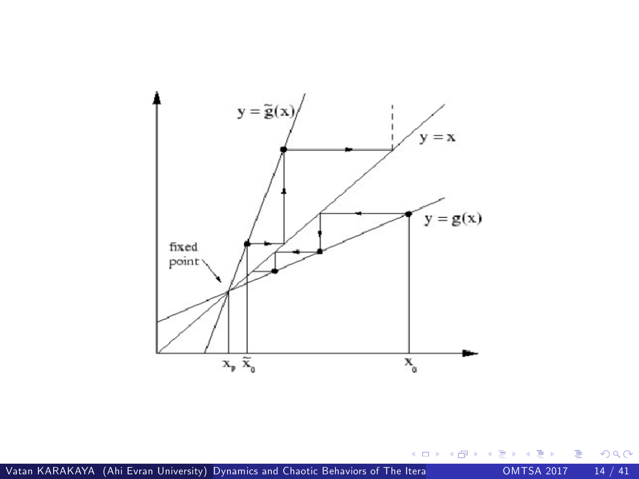

活

Þ

×

4日下

4 母 > 4 目

 $299$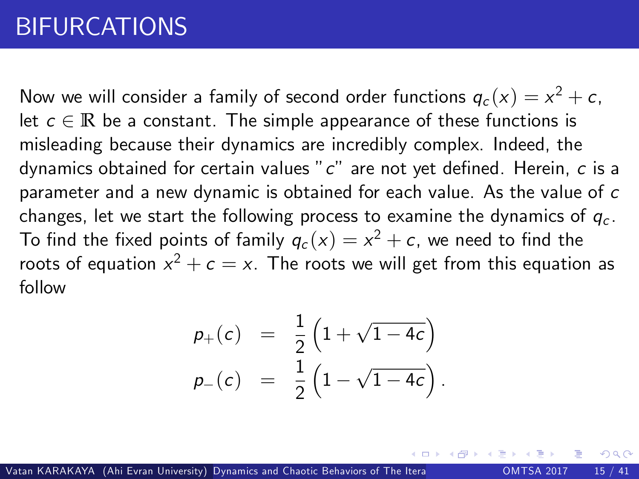## BIFURCATIONS

Now we will consider a family of second order functions  $q_c(\mathsf{x}) = \mathsf{x}^2 + c$ , let  $c \in \mathbb{R}$  be a constant. The simple appearance of these functions is misleading because their dynamics are incredibly complex. Indeed, the dynamics obtained for certain values " $c$ " are not yet defined. Herein,  $c$  is a parameter and a new dynamic is obtained for each value. As the value of c changes, let we start the following process to examine the dynamics of  $q_c$ . To find the fixed points of family  $q_c (\mathsf{x}) = \mathsf{x}^2 + c$ , we need to find the roots of equation  $x^2+c=x$ . The roots we will get from this equation as follow

$$
p_+(c) = \frac{1}{2} \left( 1 + \sqrt{1 - 4c} \right)
$$
  

$$
p_-(c) = \frac{1}{2} \left( 1 - \sqrt{1 - 4c} \right).
$$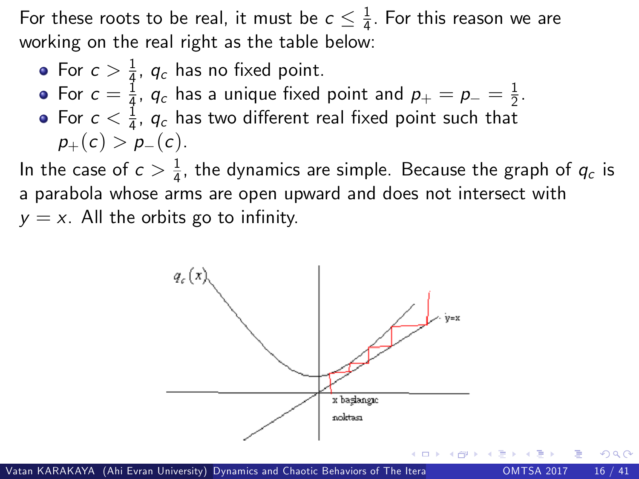For these roots to be real, it must be  $c \leq \frac{1}{4}$ . For this reason we are working on the real right as the table below:

- For  $c > \frac{1}{4}$ ,  $q_c$  has no fixed point.
- For  $c = \frac{1}{4}$ ,  $q_c$  has a unique fixed point and  $p_+ = p_- = \frac{1}{2}$ .
- For  $c < \frac{1}{4}$ ,  $q_c$  has two different real fixed point such that  $p_{+}(c) > p_{-}(c)$ .

In the case of  $c > \frac{1}{4}$ , the dynamics are simple. Because the graph of  $q_c$  is a parabola whose arms are open upward and does not intersect with  $y = x$ . All the orbits go to infinity.



Vatan KARAKAYA (Ahi Evran University) Dynamics and Chaotic Behaviors of The Itera $\overline{OMTSA}$  2017 16 / 41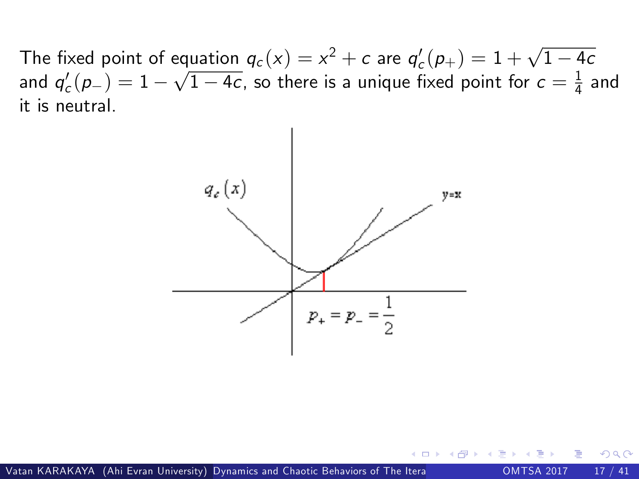The fixed point of equation  $q_c(x) = x^2 + c$  are  $q_c'(p_+) = 1 + \sqrt{1 - 4c}$ and  $q'_c(p_-) = 1 - \sqrt{1 - 4c}$ , so there is a unique fixed point for  $c = \frac{1}{4}$  and it is neutral.

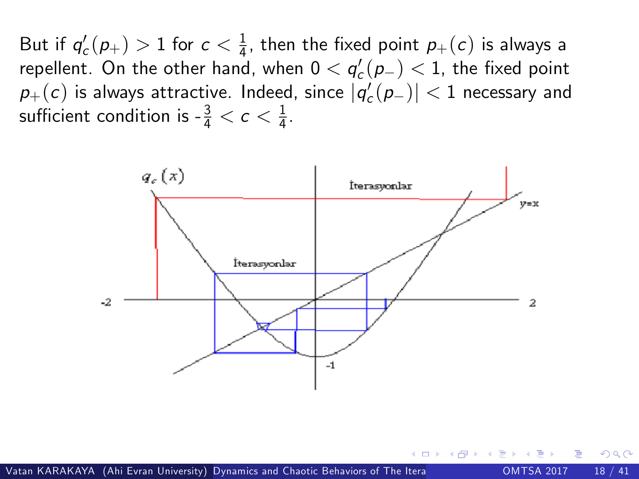But if  $q_c' (p_+) > 1$  for  $c < \frac{1}{4}$ , then the fixed point  $p_+ (c)$  is always a repellent. On the other hand, when  $0 < q'_c(p_-) < 1$ , the fixed point  $p_+(c)$  is always attractive. Indeed, since  $|q_c' (p_-)| < 1$  necessary and sufficient condition is  $-\frac{3}{4} < c < \frac{1}{4}$ .

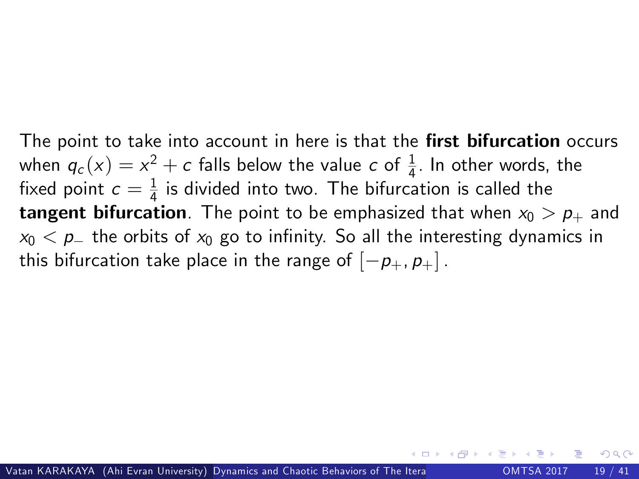The point to take into account in here is that the first bifurcation occurs when  $q_c(x) = x^2 + c$  falls below the value  $c$  of  $\frac{1}{4}$ . In other words, the fixed point  $c=\frac{1}{4}$  is divided into two. The bifurcation is called the **tangent bifurcation**. The point to be emphasized that when  $x_0 > p_+$  and  $x_0 < p_+$  the orbits of  $x_0$  go to infinity. So all the interesting dynamics in this bifurcation take place in the range of  $[-p_+, p_+]$ .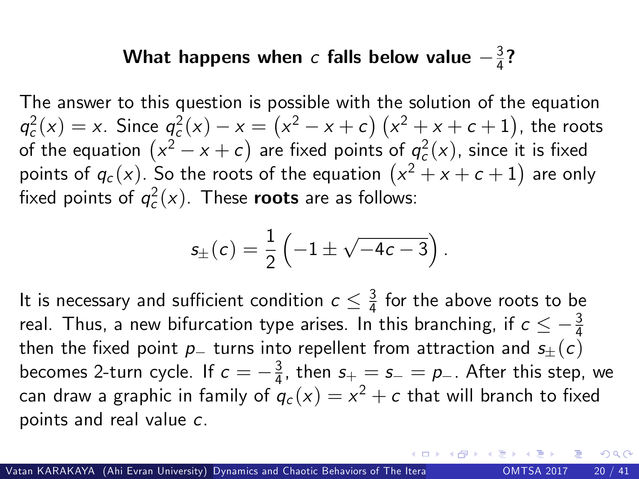# What happens when  $c$  falls below value  $-\frac{3}{4}$ ?

The answer to this question is possible with the solution of the equation  $q_c^2(x) = x$ . Since  $q_c^2(x) - x = (x^2 - x + c)(x^2 + x + c + 1)$ , the roots of the equation  $(x^2 - x + c)$  are fixed points of  $q_c^2(x)$ , since it is fixed points of  $q_c (\mathsf{x})$ . So the roots of the equation  $\left( \mathsf{x}^2 + \mathsf{x} + c + 1 \right)$  are only fixed points of  $q_c^2(x)$ . These **roots** are as follows:

$$
s_{\pm}(c)=\frac{1}{2}\left(-1\pm\sqrt{-4c-3}\right).
$$

It is necessary and sufficient condition  $c \leq \frac{3}{4}$  for the above roots to be real. Thus, a new bifurcation type arises. In this branching, if  $c\leq -\frac{3}{4}$ then the fixed point  $p_+$  turns into repellent from attraction and  $s_+(c)$ becomes 2-turn cycle. If  $c = -\frac{3}{4}$ , then  $s_+ = s_- = p_-$ . After this step, we can draw a graphic in family of  $q_c(\mathsf{x})=\mathsf{x}^2+c$  that will branch to fixed points and real value c.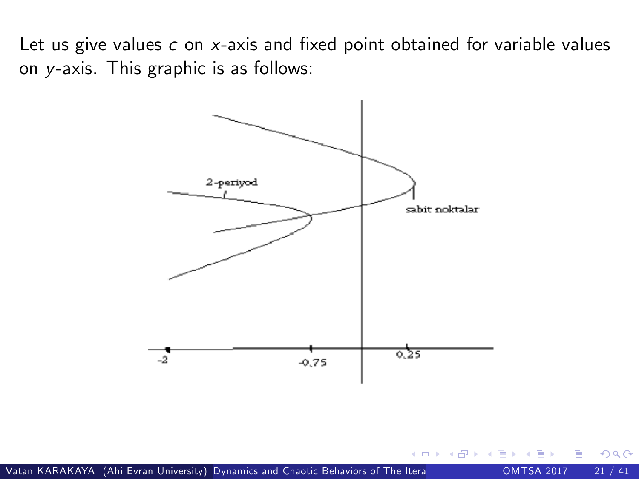Let us give values  $c$  on  $x$ -axis and fixed point obtained for variable values on y-axis. This graphic is as follows:

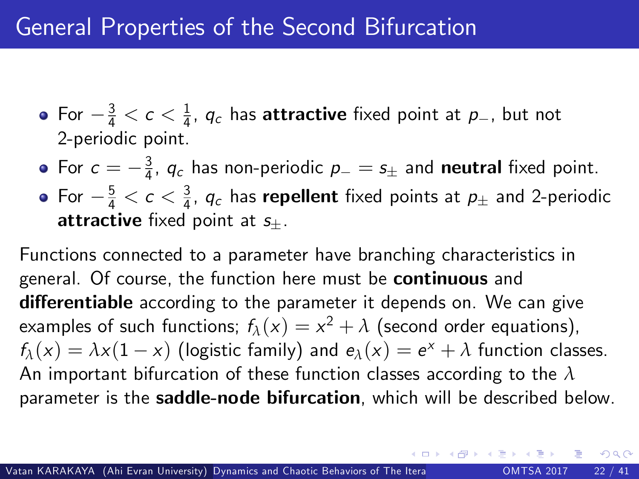## General Properties of the Second Bifurcation

- For  $-\frac{3}{4} < c < \frac{1}{4}$ ,  $q_c$  has **attractive** fixed point at  $p_-$ , but not 2-periodic point.
- For  $c = -\frac{3}{4}$ ,  $q_c$  has non-periodic  $p_-=s_{\pm}$  and **neutral** fixed point.
- For  $-\frac{5}{4} < c < \frac{3}{4}$ ,  $q_c$  has repellent fixed points at  $p_{\pm}$  and 2-periodic **attractive** fixed point at  $s_{+}$ .

Functions connected to a parameter have branching characteristics in general. Of course, the function here must be **continuous** and differentiable according to the parameter it depends on. We can give examples of such functions;  $f_{\lambda}(x) = x^2 + \lambda$  (second order equations),  $f_{\lambda}(x) = \lambda x (1-x)$  (logistic family) and  $e_{\lambda}(x) = e^{x} + \lambda$  function classes. An important bifurcation of these function classes according to the *λ* parameter is the **saddle-node bifurcation**, which will be described below.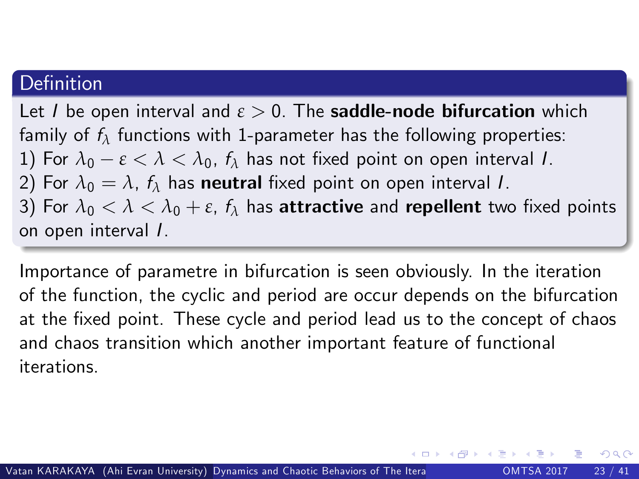#### Definition

Let I be open interval and  $\varepsilon > 0$ . The **saddle-node bifurcation** which family of  $f_\lambda$  functions with 1-parameter has the following properties: 1) For  $\lambda_0 - \varepsilon < \lambda < \lambda_0$ ,  $f_\lambda$  has not fixed point on open interval *I*. 2) For  $\lambda_0 = \lambda$ ,  $f_\lambda$  has **neutral** fixed point on open interval I. 3) For  $\lambda_0 < \lambda < \lambda_0 + \varepsilon$ ,  $f_\lambda$  has **attractive** and **repellent** two fixed points on open interval I.

Importance of parametre in bifurcation is seen obviously. In the iteration of the function, the cyclic and period are occur depends on the bifurcation at the fixed point. These cycle and period lead us to the concept of chaos and chaos transition which another important feature of functional iterations.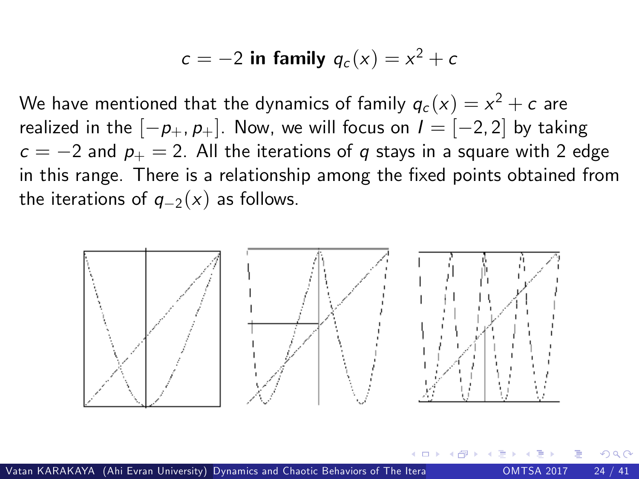## $c = -2$  in family  $q_c(x) = x^2 + c$

We have mentioned that the dynamics of family  $\mathit{q}_c(x) = x^2 + c$  are realized in the  $[-p_+, p_+]$ . Now, we will focus on  $I = [-2, 2]$  by taking  $c = -2$  and  $p_{+} = 2$ . All the iterations of q stays in a square with 2 edge in this range. There is a relationship among the fixed points obtained from the iterations of  $q_{-2}(x)$  as follows.



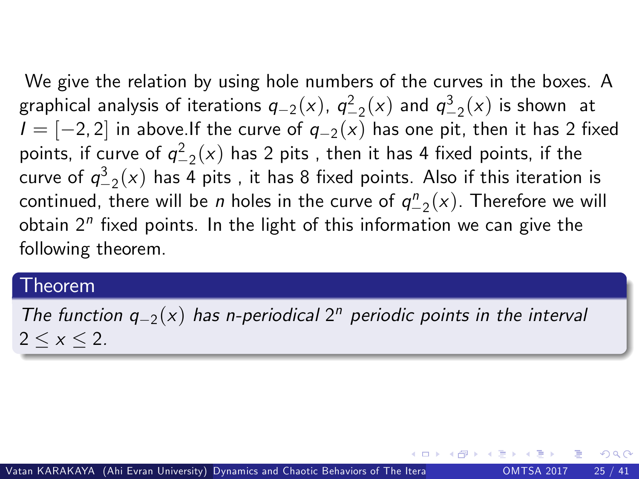We give the relation by using hole numbers of the curves in the boxes. A graphical analysis of iterations  $q_{-2}(x)$ ,  $q_{-2}^2(x)$  and  $q_{-2}^3(x)$  is shown at  $I = [-2, 2]$  in above. If the curve of  $q_{-2}(x)$  has one pit, then it has 2 fixed points, if curve of  $q_{-2}^2(\mathsf{x})$  has 2 pits , then it has 4 fixed points, if the  $\frac{-2}{4}$ curve of  $q_{-2}^3(x)$  has 4 pits , it has 8 fixed points. Also if this iteration is continued, there will be *n* holes in the curve of  $q_{-2}^n(x)$ . Therefore we will obtain  $2<sup>n</sup>$  fixed points. In the light of this information we can give the following theorem.

#### Theorem

The function  $q_{-2}(x)$  has n-periodical  $2^n$  periodic points in the interval  $2 < x < 2$ .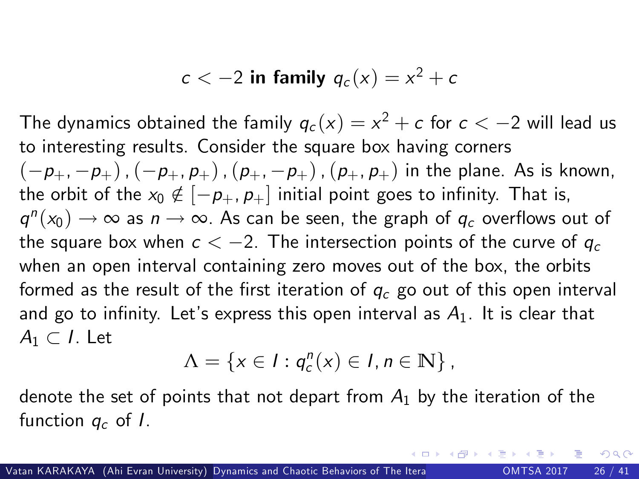# $c < -2$  in family  $q_c(x) = x^2 + c$

The dynamics obtained the family  $q_c(x) = x^2 + c$  for  $c < -2$  will lead us to interesting results. Consider the square box having corners  $(-p_+, -p_+)$ ,  $(-p_+, p_+)$ ,  $(p_+, -p_+)$ ,  $(p_+, p_+)$  in the plane. As is known, the orbit of the  $x_0 \notin [-p_+, p_+]$  initial point goes to infinity. That is,  $q^{n}(x_0) \rightarrow \infty$  as  $n \rightarrow \infty$ . As can be seen, the graph of  $q_c$  overflows out of the square box when  $c < -2$ . The intersection points of the curve of  $q_c$ when an open interval containing zero moves out of the box, the orbits formed as the result of the first iteration of  $q_c$  go out of this open interval and go to infinity. Let's express this open interval as  $A_1$ . It is clear that  $A_1 \subset I$ . Let

$$
\Lambda = \{x \in I : q_c^n(x) \in I, n \in \mathbb{N}\},\
$$

denote the set of points that not depart from  $A_1$  by the iteration of the function  $q_c$  of I.

つひひ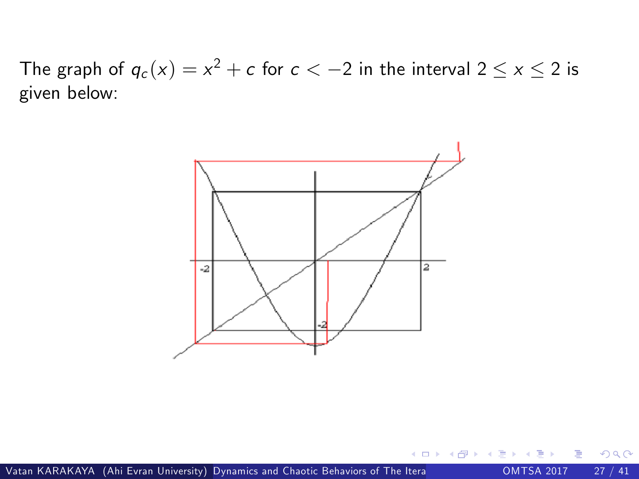The graph of  $q_c(x) = x^2 + c$  for  $c < -2$  in the interval  $2 \le x \le 2$  is given below:

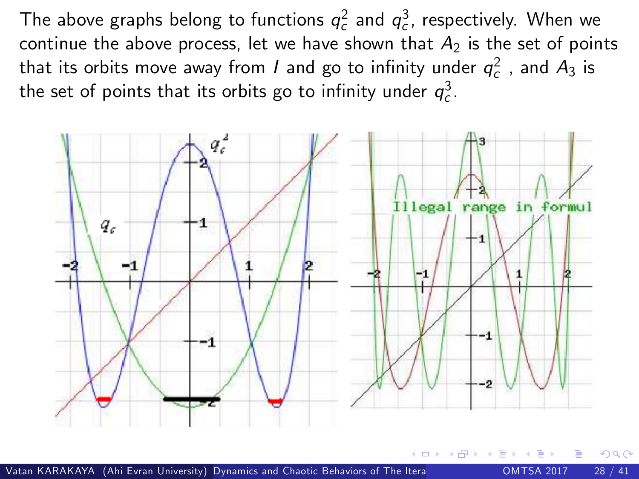The above graphs belong to functions  $q_c^2$  and  $q_c^3$ , respectively. When we continue the above process, let we have shown that  $A_2$  is the set of points that its orbits move away from  $I$  and go to infinity under  $q_c^2$  , and  $A_3$  is the set of points that its orbits go to infinity under  $q_c^3$ .



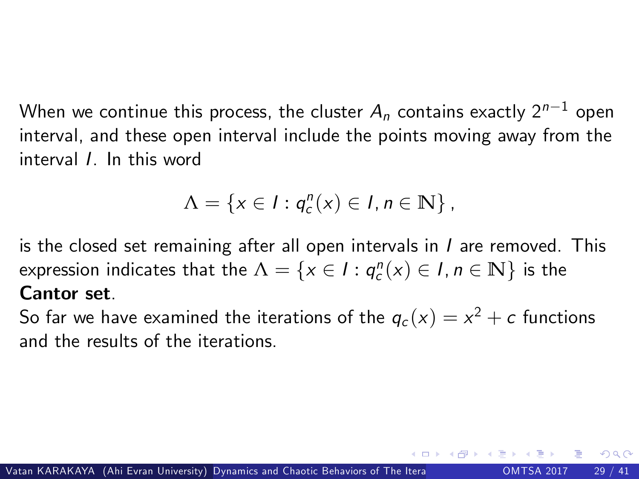When we continue this process, the cluster  $A_n$  contains exactly  $2^{n-1}$  open interval, and these open interval include the points moving away from the interval I. In this word

$$
\Lambda = \{x \in I : q_c^n(x) \in I, n \in \mathbb{N}\},\
$$

is the closed set remaining after all open intervals in I are removed. This expression indicates that the  $\Lambda = \{x \in I : q^n_c(x) \in I, n \in \mathbb{N}\}$  is the Cantor set.

So far we have examined the iterations of the  $\mathit{q}_c(x) = x^2 + c$  functions and the results of the iterations.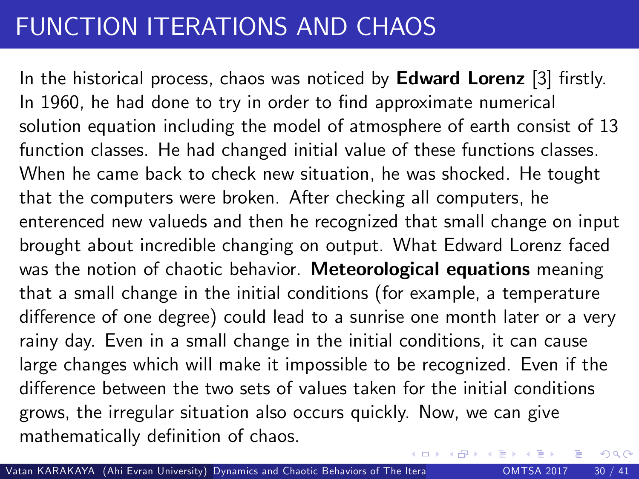## FUNCTION ITERATIONS AND CHAOS

In the historical process, chaos was noticed by **Edward Lorenz**  $[3]$  firstly. In 1960, he had done to try in order to find approximate numerical solution equation including the model of atmosphere of earth consist of 13 function classes. He had changed initial value of these functions classes. When he came back to check new situation, he was shocked. He tought that the computers were broken. After checking all computers, he enterenced new valueds and then he recognized that small change on input brought about incredible changing on output. What Edward Lorenz faced was the notion of chaotic behavior. Meteorological equations meaning that a small change in the initial conditions (for example, a temperature difference of one degree) could lead to a sunrise one month later or a very rainy day. Even in a small change in the initial conditions, it can cause large changes which will make it impossible to be recognized. Even if the difference between the two sets of values taken for the initial conditions grows, the irregular situation also occurs quickly. Now, we can give mathematically definition of chaos.

 $QQ$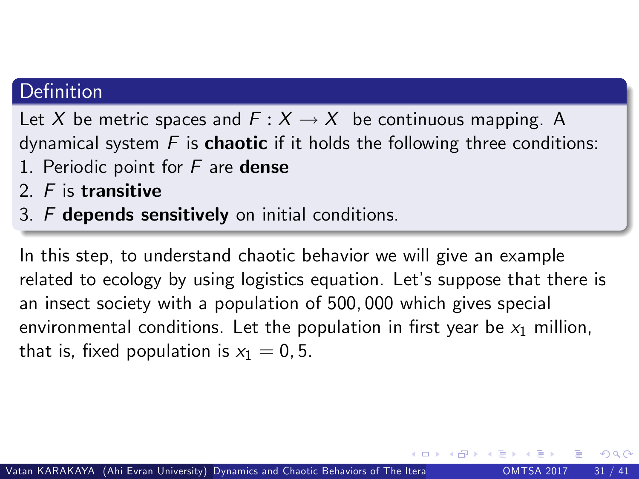#### Definition

Let X be metric spaces and  $F: X \to X$  be continuous mapping. A dynamical system  $F$  is **chaotic** if it holds the following three conditions:

- 1. Periodic point for  $F$  are **dense**
- 2. F is transitive
- 3. F depends sensitively on initial conditions.

In this step, to understand chaotic behavior we will give an example related to ecology by using logistics equation. Let's suppose that there is an insect society with a population of 500, 000 which gives special environmental conditions. Let the population in first year be  $x_1$  million, that is, fixed population is  $x_1 = 0, 5$ .

つひひ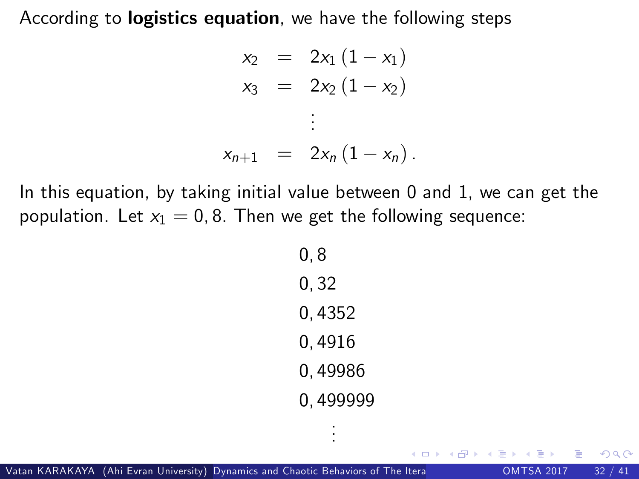According to **logistics equation**, we have the following steps

$$
x_2 = 2x_1 (1 - x_1)
$$
  
\n
$$
x_3 = 2x_2 (1 - x_2)
$$
  
\n
$$
\vdots
$$
  
\n
$$
x_{n+1} = 2x_n (1 - x_n).
$$

In this equation, by taking initial value between 0 and 1, we can get the population. Let  $x_1 = 0, 8$ . Then we get the following sequence:

> 0, 8 0, 32 0, 4352 0, 4916 0, 49986 0, 499999 . . .

つひひ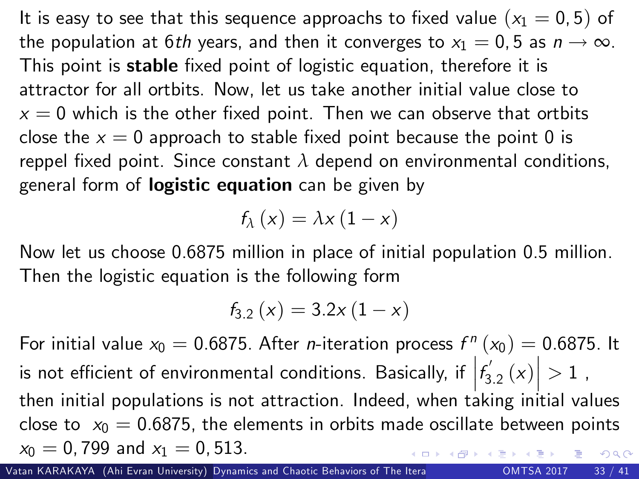It is easy to see that this sequence approachs to fixed value  $(x_1 = 0, 5)$  of the population at 6th years, and then it converges to  $x_1 = 0, 5$  as  $n \to \infty$ . This point is **stable** fixed point of logistic equation, therefore it is attractor for all ortbits. Now, let us take another initial value close to  $x = 0$  which is the other fixed point. Then we can observe that ortbits close the  $x = 0$  approach to stable fixed point because the point 0 is reppel fixed point. Since constant  $\lambda$  depend on environmental conditions, general form of **logistic equation** can be given by

$$
f_{\lambda}\left(x\right)=\lambda x\left(1-x\right)
$$

Now let us choose 0.6875 million in place of initial population 0.5 million. Then the logistic equation is the following form

$$
f_{3.2}\left(x\right) = 3.2x\left(1 - x\right)
$$

For initial value  $x_0 = 0.6875$ . After *n*-iteration process  $f^n(x_0) = 0.6875$ . It is not efficient of environmental conditions. Basically, if  $\left|f_{3.2}^{'}\left(x\right)\right|>1$  , then initial populations is not attraction. Indeed, when taking initial values close to  $x_0 = 0.6875$ , the elements in orbits made oscillate between points  $x_0 = 0$ , 799 and  $x_1 = 0$ , 513.  $QQ$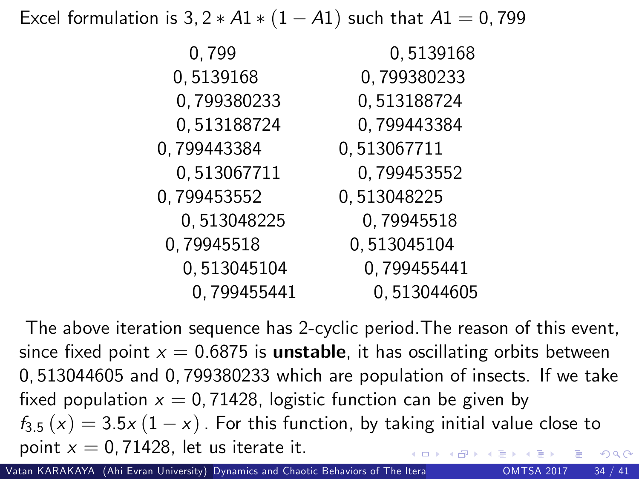Excel formulation is  $3.2 * A1 * (1 - A1)$  such that  $A1 = 0.799$ 

, 799 0, 5139168 , 5139168 0, 799380233 , 799380233 0, 513188724 , 513188724 0, 799443384 , 799443384 0, 513067711 , 513067711 0, 799453552 , 799453552 0, 513048225 , 513048225 0, 79945518 , 79945518 0, 513045104 , 513045104 0, 799455441 , 799455441 0, 513044605

The above iteration sequence has 2-cyclic period.The reason of this event, since fixed point  $x = 0.6875$  is **unstable**, it has oscillating orbits between 0, 513044605 and 0, 799380233 which are population of insects. If we take fixed population  $x = 0.71428$ , logistic function can be given by  $f_3$   $_5$   $(x) = 3.5x (1 - x)$ . For this function, by taking initial value close to point  $x = 0.71428$ . let us iterate it.  $QQ$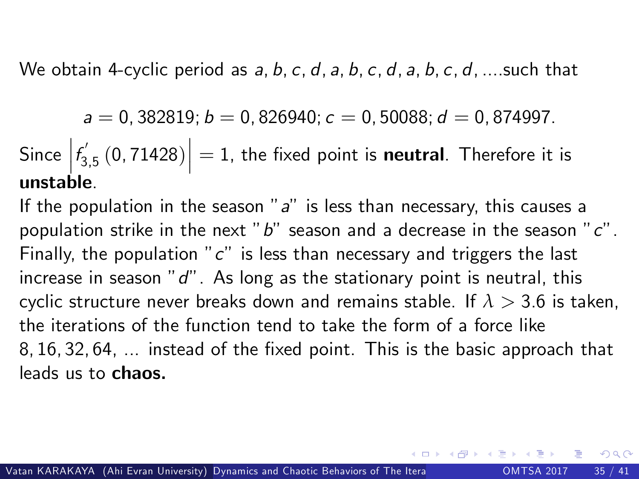We obtain 4-cyclic period as  $a, b, c, d, a, b, c, d, a, b, c, d, \ldots$  such that

 $a = 0.382819$ ;  $b = 0.826940$ ;  $c = 0.50088$ ;  $d = 0.874997$ .

 $\left|f_{3,5}^{'}\left(0,71428\right)\right|=1$ , the fixed point is **neutral**. Therefore it is unstable.

If the population in the season "a" is less than necessary, this causes a population strike in the next "b" season and a decrease in the season " $c$ ". Finally, the population " $c$ " is less than necessary and triggers the last increase in season "d". As long as the stationary point is neutral, this cyclic structure never breaks down and remains stable. If *λ* > 3.6 is taken, the iterations of the function tend to take the form of a force like 8, 16, 32, 64, ... instead of the Öxed point. This is the basic approach that leads us to chaos.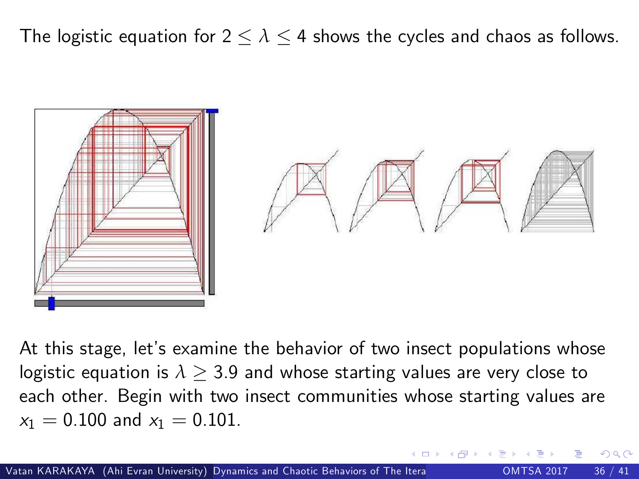The logistic equation for  $2 \leq \lambda \leq 4$  shows the cycles and chaos as follows.



At this stage, let's examine the behavior of two insect populations whose logistic equation is  $\lambda > 3.9$  and whose starting values are very close to each other. Begin with two insect communities whose starting values are  $x_1 = 0.100$  and  $x_1 = 0.101$ .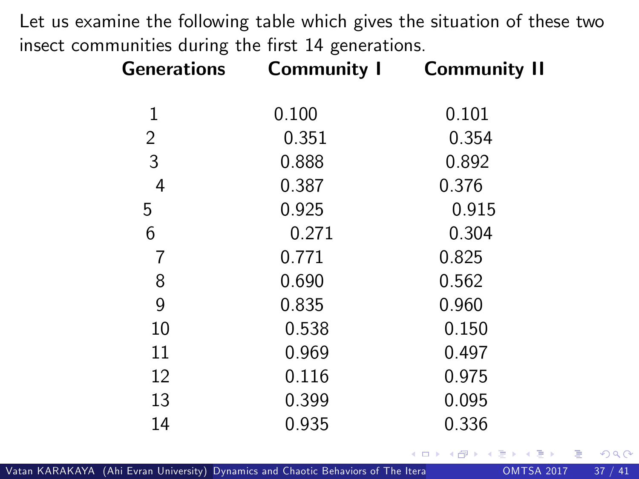Let us examine the following table which gives the situation of these two insect communities during the first 14 generations.

| <b>Generations</b> | <b>Community I</b> | <b>Community II</b> |
|--------------------|--------------------|---------------------|
| 1                  | 0.100              | 0.101               |
| 2                  | 0.351              | 0.354               |
| 3                  | 0.888              | 0.892               |
| 4                  | 0.387              | 0.376               |
| 5                  | 0.925              | 0.915               |
| 6                  | 0.271              | 0.304               |
| 7                  | 0.771              | 0.825               |
| 8                  | 0.690              | 0.562               |
| 9                  | 0.835              | 0.960               |
| 10                 | 0.538              | 0.150               |
| 11                 | 0.969              | 0.497               |
| 12                 | 0.116              | 0.975               |
| 13                 | 0.399              | 0.095               |
| 14                 | 0.935              | 0.336               |

 $290$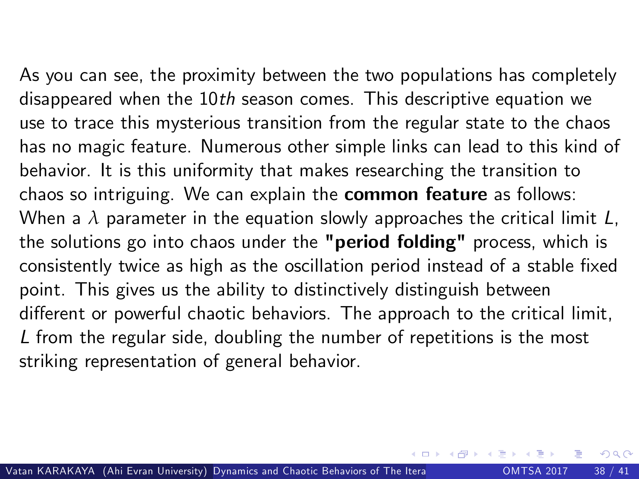As you can see, the proximity between the two populations has completely disappeared when the 10th season comes. This descriptive equation we use to trace this mysterious transition from the regular state to the chaos has no magic feature. Numerous other simple links can lead to this kind of behavior. It is this uniformity that makes researching the transition to chaos so intriguing. We can explain the common feature as follows: When a  $\lambda$  parameter in the equation slowly approaches the critical limit L, the solutions go into chaos under the "**period folding**" process, which is consistently twice as high as the oscillation period instead of a stable fixed point. This gives us the ability to distinctively distinguish between different or powerful chaotic behaviors. The approach to the critical limit, L from the regular side, doubling the number of repetitions is the most striking representation of general behavior.

 $QQ$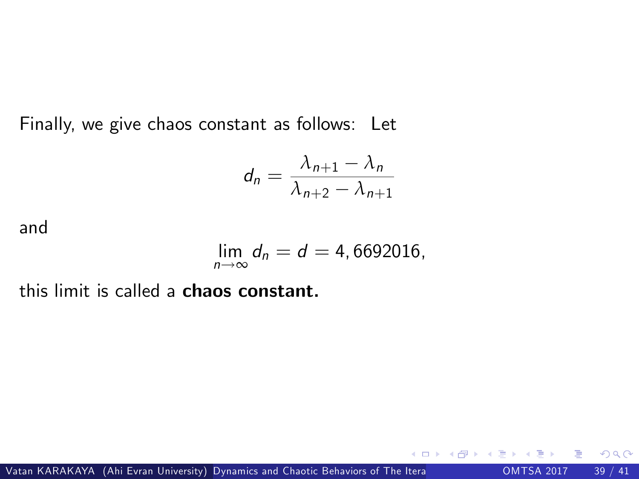Finally, we give chaos constant as follows: Let

$$
d_n = \frac{\lambda_{n+1} - \lambda_n}{\lambda_{n+2} - \lambda_{n+1}}
$$

and

$$
\lim_{n\to\infty}d_n=d=4,6692016,
$$

4 D F

 $QQ$ 

this limit is called a chaos constant.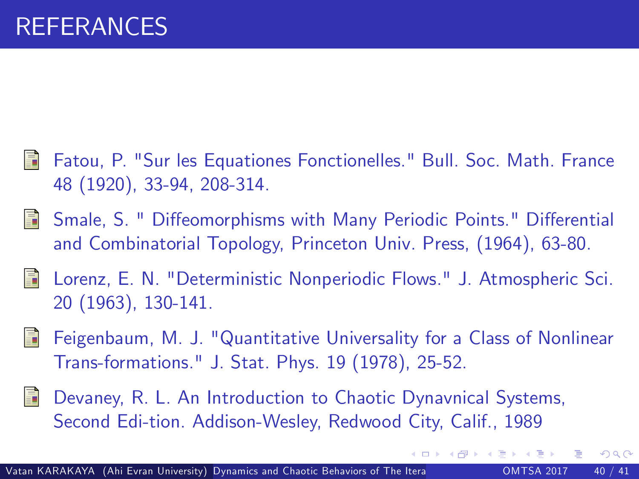- <span id="page-39-0"></span>Fatou, P. "Sur les Equationes Fonctionelles." Bull. Soc. Math. France 48 (1920), 33-94, 208-314.
- <span id="page-39-1"></span>Smale, S. " Diffeomorphisms with Many Periodic Points." Differential 螶 and Combinatorial Topology, Princeton Univ. Press, (1964), 63-80.
- <span id="page-39-2"></span>Lorenz, E. N. "Deterministic Nonperiodic Flows." J. Atmospheric Sci. 20 (1963), 130-141.
- <span id="page-39-3"></span>Feigenbaum, M. J. "Quantitative Universality for a Class of Nonlinear Trans-formations." J. Stat. Phys. 19 (1978), 25-52.

 $\Omega$ 

<span id="page-39-4"></span>Devaney, R. L. An Introduction to Chaotic Dynavnical Systems, Second Edi-tion. Addison-Wesley, Redwood City, Calif., 1989